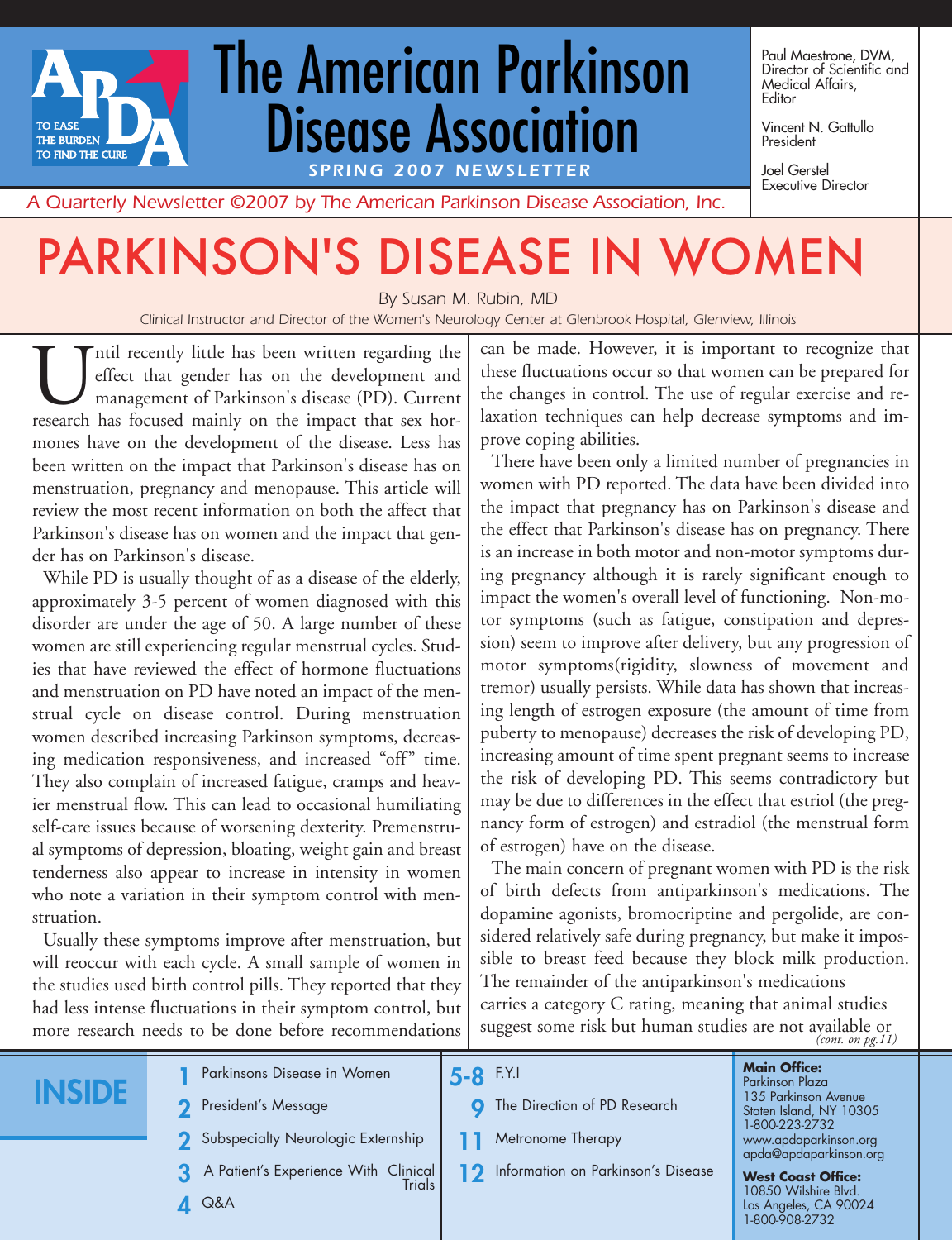# *SPRING 2007 NEWSLETTER* The American Parkinson Disease Association

Paul Maestrone, DVM, Director of Scientific and Medical Affairs, Editor

Vincent N. Gattullo President

Joel Gerstel Executive Director

*A Quarterly Newsletter ©2007 by The American Parkinson Disease Association, Inc.*

# PARKINSON'S DISEASE IN WOMEN

*By Susan M. Rubin, MD*

*Clinical Instructor and Director of the Women's Neurology Center at Glenbrook Hospital, Glenview, Illinois*

Intil recently little has been written regarding the<br>deffect that gender has on the development and<br>management of Parkinson's disease (PD). Current<br>research has focused mainly on the impact that sex horeffect that gender has on the development and management of Parkinson's disease (PD). Current research has focused mainly on the impact that sex hormones have on the development of the disease. Less has been written on the impact that Parkinson's disease has on menstruation, pregnancy and menopause. This article will review the most recent information on both the affect that Parkinson's disease has on women and the impact that gender has on Parkinson's disease.

While PD is usually thought of as a disease of the elderly, approximately 3-5 percent of women diagnosed with this disorder are under the age of 50. A large number of these women are still experiencing regular menstrual cycles. Studies that have reviewed the effect of hormone fluctuations and menstruation on PD have noted an impact of the menstrual cycle on disease control. During menstruation women described increasing Parkinson symptoms, decreasing medication responsiveness, and increased "off" time. They also complain of increased fatigue, cramps and heavier menstrual flow. This can lead to occasional humiliating self-care issues because of worsening dexterity. Premenstrual symptoms of depression, bloating, weight gain and breast tenderness also appear to increase in intensity in women who note a variation in their symptom control with menstruation.

Usually these symptoms improve after menstruation, but will reoccur with each cycle. A small sample of women in the studies used birth control pills. They reported that they had less intense fluctuations in their symptom control, but more research needs to be done before recommendations

can be made. However, it is important to recognize that these fluctuations occur so that women can be prepared for the changes in control. The use of regular exercise and relaxation techniques can help decrease symptoms and improve coping abilities.

There have been only a limited number of pregnancies in women with PD reported. The data have been divided into the impact that pregnancy has on Parkinson's disease and the effect that Parkinson's disease has on pregnancy. There is an increase in both motor and non-motor symptoms during pregnancy although it is rarely significant enough to impact the women's overall level of functioning. Non-motor symptoms (such as fatigue, constipation and depression) seem to improve after delivery, but any progression of motor symptoms(rigidity, slowness of movement and tremor) usually persists. While data has shown that increasing length of estrogen exposure (the amount of time from puberty to menopause) decreases the risk of developing PD, increasing amount of time spent pregnant seems to increase the risk of developing PD. This seems contradictory but may be due to differences in the effect that estriol (the pregnancy form of estrogen) and estradiol (the menstrual form of estrogen) have on the disease.

The main concern of pregnant women with PD is the risk of birth defects from antiparkinson's medications. The dopamine agonists, bromocriptine and pergolide, are considered relatively safe during pregnancy, but make it impossible to breast feed because they block milk production. The remainder of the antiparkinson's medications carries a category C rating, meaning that animal studies suggest some risk but human studies are not available or *(cont. on pg.11)*

# **INSIDE**

**TO EASE** THE BURDEN TO FIND THE CURE

- **2** President's Message
- **2** Subspecialty Neurologic Externship

**1** Parkinsons Disease in Women

- **3** A Patient's Experience With Clinical **Trials**
- **4** Q&A

**5-8** F.Y.I

- **9** The Direction of PD Research
- **11** Metronome Therapy
- 12 Information on Parkinson's Disease

#### **Main Office:** Parkinson Plaza 135 Parkinson Avenue Staten Island, NY 10305 1-800-223-2732 www.apdaparkinson.org apda@apdaparkinson.org

**West Coast Office:** 10850 Wilshire Blvd. Los Angeles, CA 90024 1-800-908-2732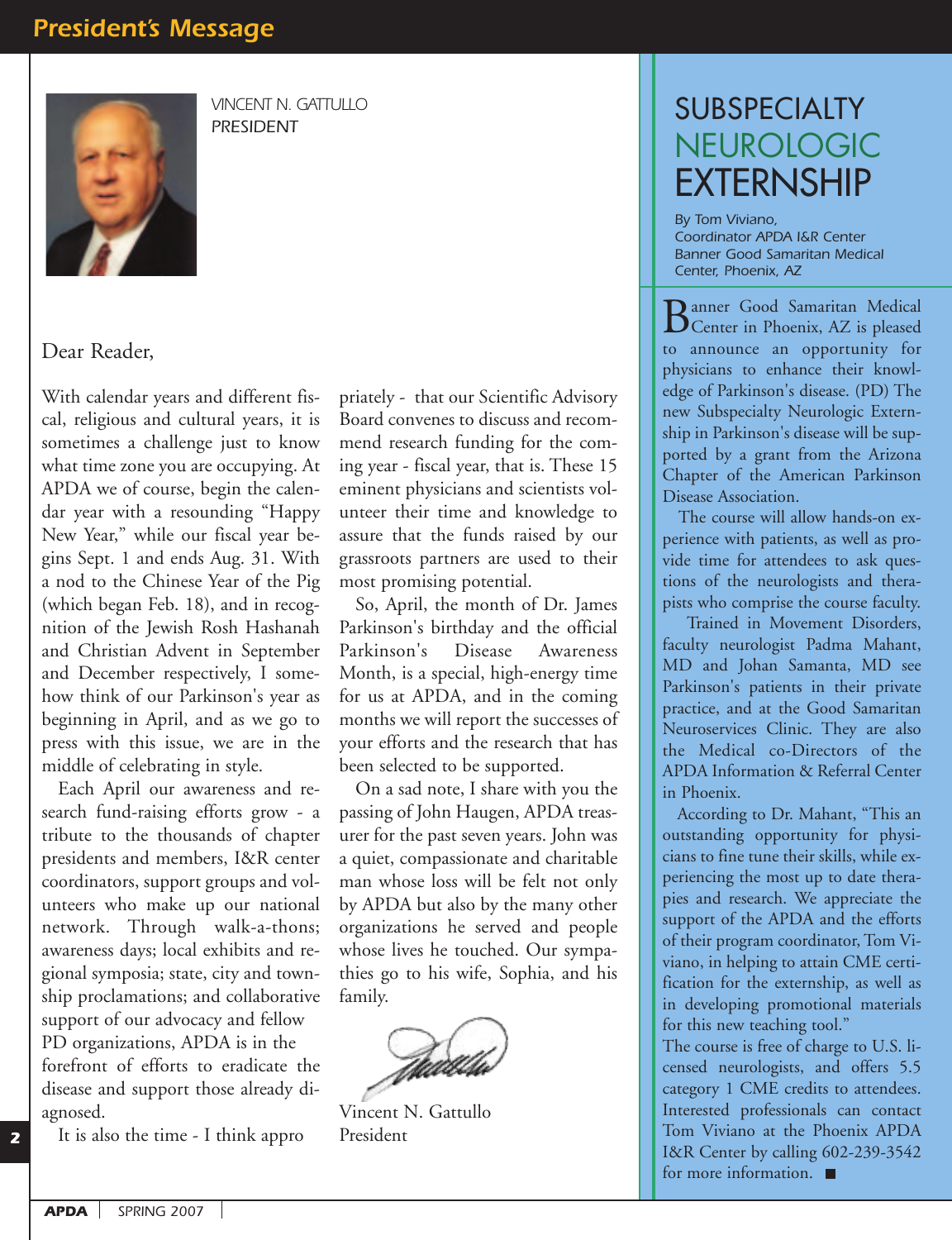## *President's Message*



*VINCENT N. GATTULLO PRESIDENT*

Dear Reader,

With calendar years and different fiscal, religious and cultural years, it is sometimes a challenge just to know what time zone you are occupying. At APDA we of course, begin the calendar year with a resounding "Happy New Year," while our fiscal year begins Sept. 1 and ends Aug. 31. With a nod to the Chinese Year of the Pig (which began Feb. 18), and in recognition of the Jewish Rosh Hashanah and Christian Advent in September and December respectively, I somehow think of our Parkinson's year as beginning in April, and as we go to press with this issue, we are in the middle of celebrating in style.

Each April our awareness and research fund-raising efforts grow - a tribute to the thousands of chapter presidents and members, I&R center coordinators, support groups and volunteers who make up our national network. Through walk-a-thons; awareness days; local exhibits and regional symposia; state, city and township proclamations; and collaborative support of our advocacy and fellow PD organizations, APDA is in the forefront of efforts to eradicate the disease and support those already diagnosed.

It is also the time - I think appro

priately - that our Scientific Advisory Board convenes to discuss and recommend research funding for the coming year - fiscal year, that is. These 15 eminent physicians and scientists volunteer their time and knowledge to assure that the funds raised by our grassroots partners are used to their most promising potential.

So, April, the month of Dr. James Parkinson's birthday and the official Parkinson's Disease Awareness Month, is a special, high-energy time for us at APDA, and in the coming months we will report the successes of your efforts and the research that has been selected to be supported.

On a sad note, I share with you the passing of John Haugen, APDA treasurer for the past seven years. John was a quiet, compassionate and charitable man whose loss will be felt not only by APDA but also by the many other organizations he served and people whose lives he touched. Our sympathies go to his wife, Sophia, and his family.



Vincent N. Gattullo President

# SUBSPECIALTY NEUROLOGIC **EXTERNSHIP**

*By Tom Viviano, Coordinator APDA I&R Center Banner Good Samaritan Medical Center, Phoenix, AZ*

Banner Good Samaritan Medical Center in Phoenix, AZ is pleased to announce an opportunity for physicians to enhance their knowledge of Parkinson's disease. (PD) The new Subspecialty Neurologic Externship in Parkinson's disease will be supported by a grant from the Arizona Chapter of the American Parkinson Disease Association.

The course will allow hands-on experience with patients, as well as provide time for attendees to ask questions of the neurologists and therapists who comprise the course faculty.

Trained in Movement Disorders, faculty neurologist Padma Mahant, MD and Johan Samanta, MD see Parkinson's patients in their private practice, and at the Good Samaritan Neuroservices Clinic. They are also the Medical co-Directors of the APDA Information & Referral Center in Phoenix.

According to Dr. Mahant, "This an outstanding opportunity for physicians to fine tune their skills, while experiencing the most up to date therapies and research. We appreciate the support of the APDA and the efforts of their program coordinator, Tom Viviano, in helping to attain CME certification for the externship, as well as in developing promotional materials for this new teaching tool."

The course is free of charge to U.S. licensed neurologists, and offers 5.5 category 1 CME credits to attendees. Interested professionals can contact Tom Viviano at the Phoenix APDA I&R Center by calling 602-239-3542 for more information.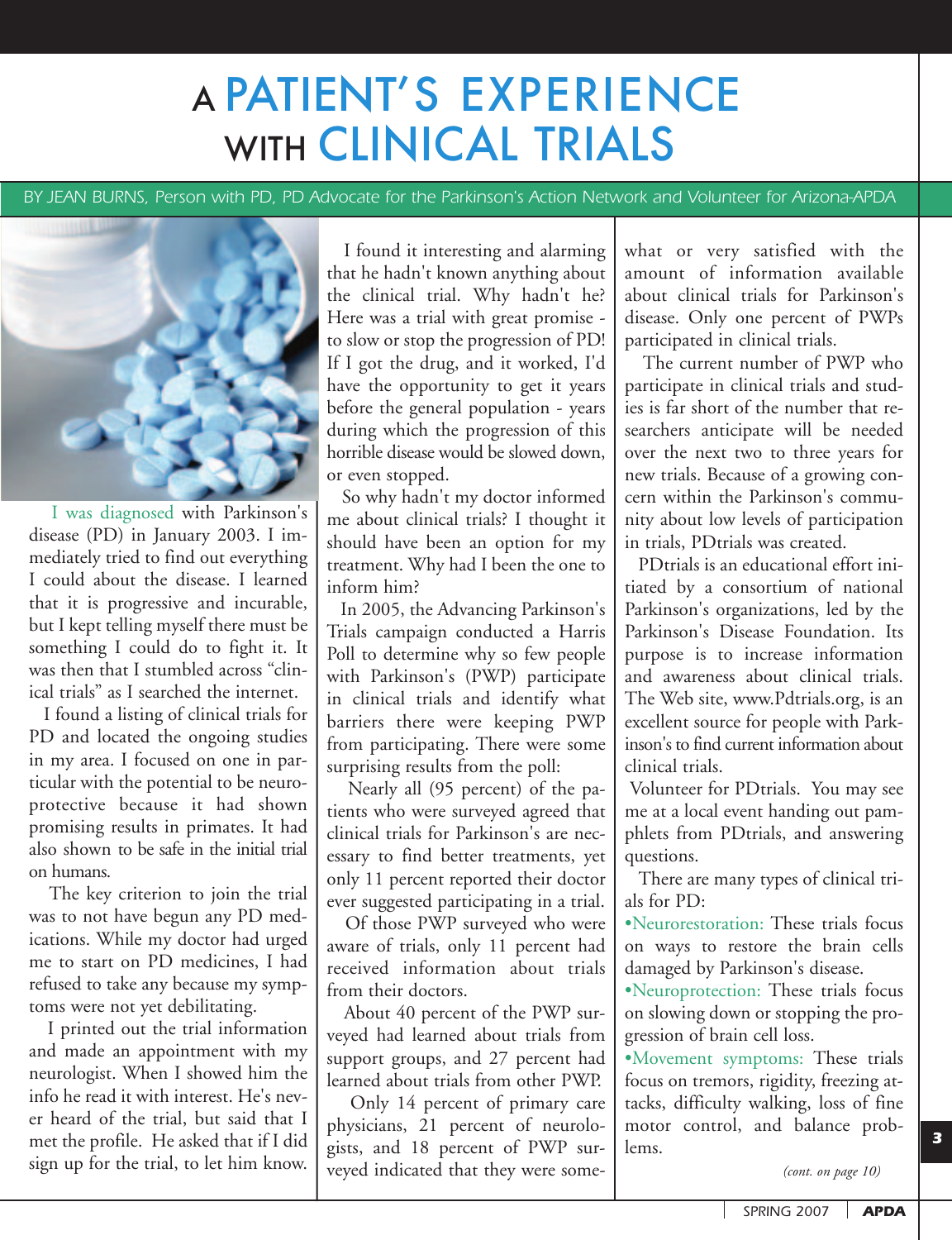# A PATIENT'S EXPERIENCE WITH CLINICAL TRIALS

*BY JEAN BURNS, Person with PD, PD Advocate for the Parkinson's Action Network and Volunteer for Arizona-APDA,* 



I was diagnosed with Parkinson's disease (PD) in January 2003. I immediately tried to find out everything I could about the disease. I learned that it is progressive and incurable, but I kept telling myself there must be something I could do to fight it. It was then that I stumbled across "clinical trials" as I searched the internet.

I found a listing of clinical trials for PD and located the ongoing studies in my area. I focused on one in particular with the potential to be neuroprotective because it had shown promising results in primates. It had also shown to be safe in the initial trial on humans.

The key criterion to join the trial was to not have begun any PD medications. While my doctor had urged me to start on PD medicines, I had refused to take any because my symptoms were not yet debilitating.

I printed out the trial information and made an appointment with my neurologist. When I showed him the info he read it with interest. He's never heard of the trial, but said that I met the profile. He asked that if I did sign up for the trial, to let him know.

I found it interesting and alarming that he hadn't known anything about the clinical trial. Why hadn't he? Here was a trial with great promise to slow or stop the progression of PD! If I got the drug, and it worked, I'd have the opportunity to get it years before the general population - years during which the progression of this horrible disease would be slowed down, or even stopped.

So why hadn't my doctor informed me about clinical trials? I thought it should have been an option for my treatment. Why had I been the one to inform him?

In 2005, the Advancing Parkinson's Trials campaign conducted a Harris Poll to determine why so few people with Parkinson's (PWP) participate in clinical trials and identify what barriers there were keeping PWP from participating. There were some surprising results from the poll:

Nearly all (95 percent) of the patients who were surveyed agreed that clinical trials for Parkinson's are necessary to find better treatments, yet only 11 percent reported their doctor ever suggested participating in a trial.

Of those PWP surveyed who were aware of trials, only 11 percent had received information about trials from their doctors.

About 40 percent of the PWP surveyed had learned about trials from support groups, and 27 percent had learned about trials from other PWP.

Only 14 percent of primary care physicians, 21 percent of neurologists, and 18 percent of PWP surveyed indicated that they were somewhat or very satisfied with the amount of information available about clinical trials for Parkinson's disease. Only one percent of PWPs participated in clinical trials.

The current number of PWP who participate in clinical trials and studies is far short of the number that researchers anticipate will be needed over the next two to three years for new trials. Because of a growing concern within the Parkinson's community about low levels of participation in trials, PDtrials was created.

PDtrials is an educational effort initiated by a consortium of national Parkinson's organizations, led by the Parkinson's Disease Foundation. Its purpose is to increase information and awareness about clinical trials. The Web site, www.Pdtrials.org, is an excellent source for people with Parkinson's to find current information about clinical trials.

Volunteer for PDtrials. You may see me at a local event handing out pamphlets from PDtrials, and answering questions.

There are many types of clinical trials for PD:

•Neurorestoration: These trials focus on ways to restore the brain cells damaged by Parkinson's disease.

•Neuroprotection: These trials focus on slowing down or stopping the progression of brain cell loss.

•Movement symptoms: These trials focus on tremors, rigidity, freezing attacks, difficulty walking, loss of fine motor control, and balance problems.

*(cont. on page 10)*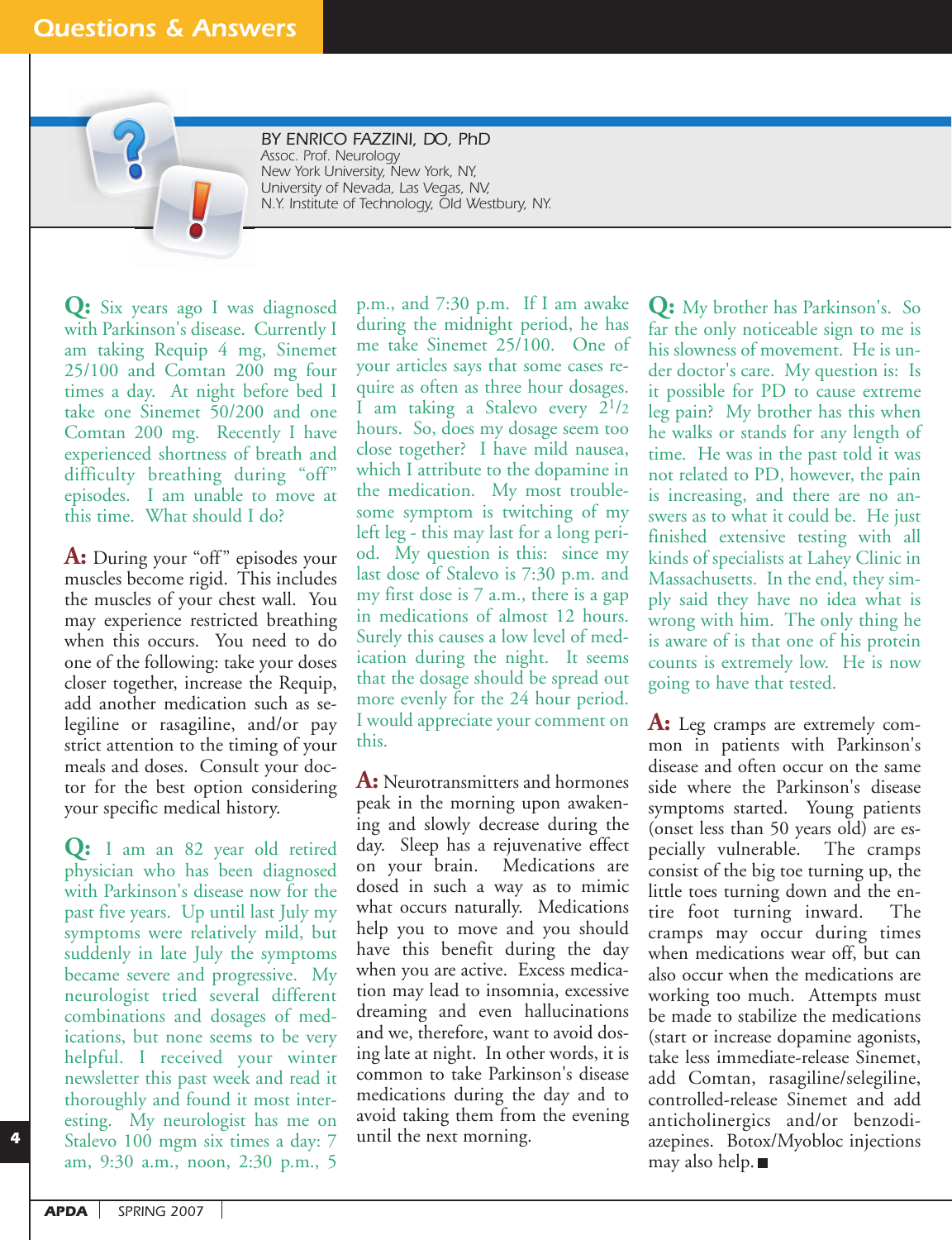### *Questions & Answers*

*BY ENRICO FAZZINI, DO, PhD Assoc. Prof. Neurology New York University, New York, NY, University of Nevada, Las Vegas, NV, N.Y. Institute of Technology, Old Westbury, NY.*

**Q:** Six years ago I was diagnosed with Parkinson's disease. Currently I am taking Requip 4 mg, Sinemet 25/100 and Comtan 200 mg four times a day. At night before bed I take one Sinemet 50/200 and one Comtan 200 mg. Recently I have experienced shortness of breath and difficulty breathing during "off" episodes. I am unable to move at this time. What should I do?

A: During your "off" episodes your muscles become rigid. This includes the muscles of your chest wall. You may experience restricted breathing when this occurs. You need to do one of the following: take your doses closer together, increase the Requip, add another medication such as selegiline or rasagiline, and/or pay strict attention to the timing of your meals and doses. Consult your doctor for the best option considering your specific medical history.

**Q:** I am an 82 year old retired physician who has been diagnosed with Parkinson's disease now for the past five years. Up until last July my symptoms were relatively mild, but suddenly in late July the symptoms became severe and progressive. My neurologist tried several different combinations and dosages of medications, but none seems to be very helpful. I received your winter newsletter this past week and read it thoroughly and found it most interesting. My neurologist has me on Stalevo 100 mgm six times a day: 7 am, 9:30 a.m., noon, 2:30 p.m., 5

p.m., and 7:30 p.m. If I am awake during the midnight period, he has me take Sinemet 25/100. One of your articles says that some cases require as often as three hour dosages. I am taking a Stalevo every 21/2 hours. So, does my dosage seem too close together? I have mild nausea, which I attribute to the dopamine in the medication. My most troublesome symptom is twitching of my left leg - this may last for a long period. My question is this: since my last dose of Stalevo is 7:30 p.m. and my first dose is 7 a.m., there is a gap in medications of almost 12 hours. Surely this causes a low level of medication during the night. It seems that the dosage should be spread out more evenly for the 24 hour period. I would appreciate your comment on this.

**A:** Neurotransmitters and hormones peak in the morning upon awakening and slowly decrease during the day. Sleep has a rejuvenative effect on your brain. Medications are dosed in such a way as to mimic what occurs naturally. Medications help you to move and you should have this benefit during the day when you are active. Excess medication may lead to insomnia, excessive dreaming and even hallucinations and we, therefore, want to avoid dosing late at night. In other words, it is common to take Parkinson's disease medications during the day and to avoid taking them from the evening until the next morning.

**Q:** My brother has Parkinson's. So far the only noticeable sign to me is his slowness of movement. He is under doctor's care. My question is: Is it possible for PD to cause extreme leg pain? My brother has this when he walks or stands for any length of time. He was in the past told it was not related to PD, however, the pain is increasing, and there are no answers as to what it could be. He just finished extensive testing with all kinds of specialists at Lahey Clinic in Massachusetts. In the end, they simply said they have no idea what is wrong with him. The only thing he is aware of is that one of his protein counts is extremely low. He is now going to have that tested.

**A:** Leg cramps are extremely common in patients with Parkinson's disease and often occur on the same side where the Parkinson's disease symptoms started. Young patients (onset less than 50 years old) are especially vulnerable. The cramps consist of the big toe turning up, the little toes turning down and the entire foot turning inward. The cramps may occur during times when medications wear off, but can also occur when the medications are working too much. Attempts must be made to stabilize the medications (start or increase dopamine agonists, take less immediate-release Sinemet, add Comtan, rasagiline/selegiline, controlled-release Sinemet and add anticholinergics and/or benzodiazepines. Botox/Myobloc injections may also help.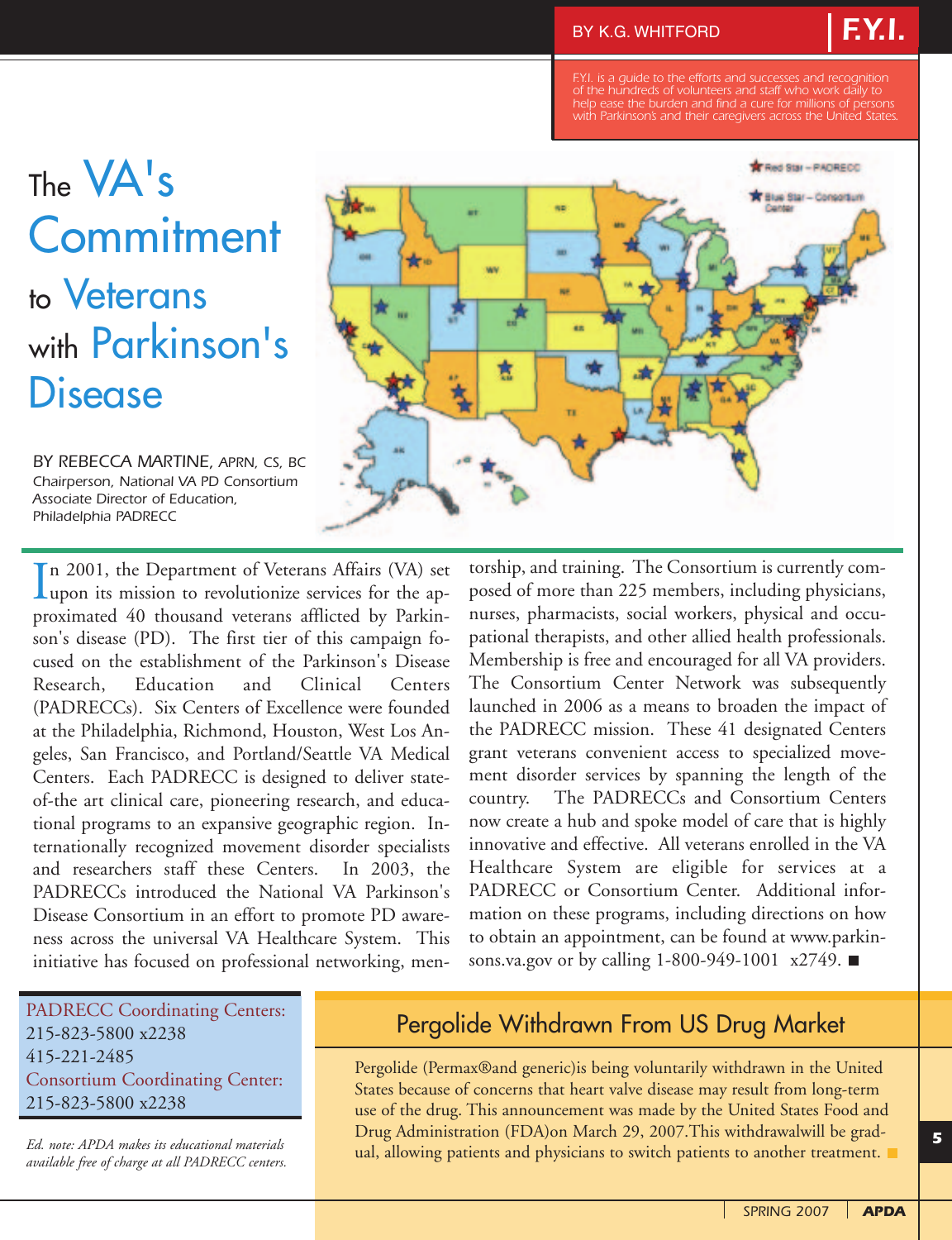me.

*of the hundreds of volunteers and staff who work daily to help ease the burden and find a cure for millions of persons with Parkinson's and their caregivers across the United States.*

> **Red Star - PAORECO** Blue Star - Consortun

*F.Y.I.*

# The VA's **Commitment** to Veterans with Parkinson's **Disease**

*BY REBECCA MARTINE, APRN, CS, BC Chairperson, National VA PD Consortium Associate Director of Education, Philadelphia PADRECC*



torship, and training. The Consortium is currently composed of more than 225 members, including physicians, nurses, pharmacists, social workers, physical and occupational therapists, and other allied health professionals. Membership is free and encouraged for all VA providers. The Consortium Center Network was subsequently launched in 2006 as a means to broaden the impact of the PADRECC mission. These 41 designated Centers grant veterans convenient access to specialized movement disorder services by spanning the length of the country. The PADRECCs and Consortium Centers now create a hub and spoke model of care that is highly innovative and effective. All veterans enrolled in the VA Healthcare System are eligible for services at a PADRECC or Consortium Center. Additional information on these programs, including directions on how to obtain an appointment, can be found at www.parkinsons.va.gov or by calling 1-800-949-1001 x2749. ■

#### PADRECC Coordinating Centers: 215-823-5800 x2238 415-221-2485 Consortium Coordinating Center: 215-823-5800 x2238

*Ed. note: APDA makes its educational materials available free of charge at all PADRECC centers.*

## Pergolide Withdrawn From US Drug Market

Pergolide (Permax®and generic)is being voluntarily withdrawn in the United States because of concerns that heart valve disease may result from long-term use of the drug. This announcement was made by the United States Food and Drug Administration (FDA)on March 29, 2007.This withdrawalwill be gradual, allowing patients and physicians to switch patients to another treatment.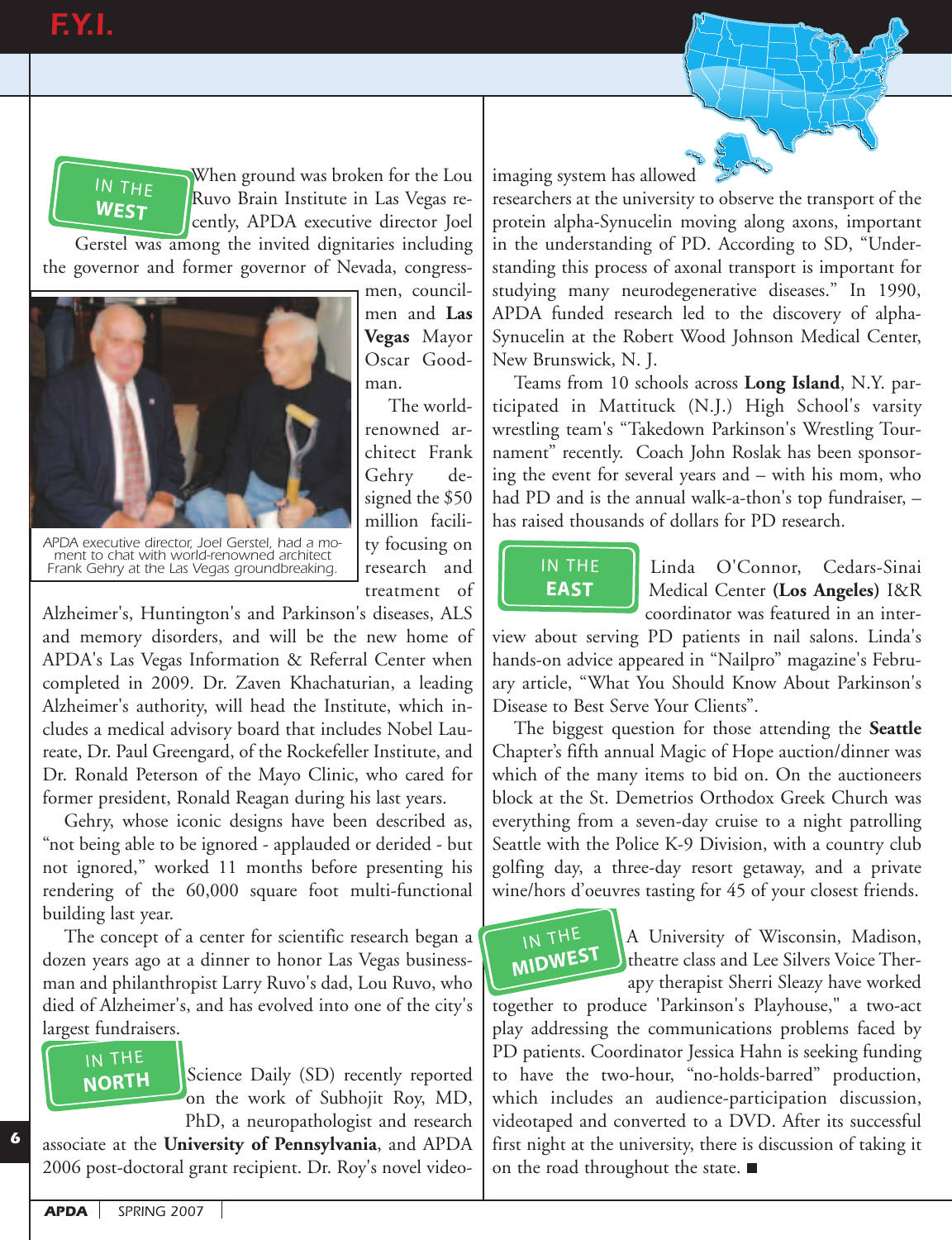# **F.Y.I.**



When ground was broken for the Lou Ruvo Brain Institute in Las Vegas recently, APDA executive director Joel

Gerstel was among the invited dignitaries including the governor and former governor of Nevada, congress-



*APDA executive director, Joel Gerstel, had a moment to chat with world-renowned architect Frank Gehry at the Las Vegas groundbreaking.*

men, councilmen and **Las Vegas** Mayor Oscar Goodman.

The worldrenowned architect Frank Gehry designed the \$50 million facility focusing on research and treatment of

Alzheimer's, Huntington's and Parkinson's diseases, ALS<br>and management diseaders and will be the name have als and memory disorders, and will be the new home of<br>APDA's Las Vegas Information & Referral Center when APDA's Las Vegas Information & Referral Center when completed in 2009. Dr. Zaven Khachaturian, a leading Alzheimer's authority, will head the Institute, which includes a medical advisory board that includes Nobel Laureate, Dr. Paul Greengard, of the Rockefeller Institute, and Dr. Ronald Peterson of the Mayo Clinic, who cared for former president, Ronald Reagan during his last years.  $\cdot$ imer's. nd memory dis

Gehry, whose iconic designs have been described as, "not being able to be ignored - applauded or derided - but not ignored," worked 11 months before presenting his rendering of the 60,000 square foot multi-functional building last year.

The concept of a center for scientific research began a dozen years ago at a dinner to honor Las Vegas businessman and philanthropist Larry Ruvo's dad, Lou Ruvo, who died of Alzheimer's, and has evolved into one of the city's largest fundraisers. years a<br>Ind phil:<br>If Alzhe:<br>IN THE<br>NORTH **nd phila**<br>of Alzheii<br>**t fundrai**<br>IN THE<br>**NORTH** 



*6*

Science Daily (SD) recently reported on the work of Subhojit Roy, MD, PhD, a neuropathologist and research

associate at the **University of Pennsylvania**, and APDA 2006 post-doctoral grant recipient. Dr. Roy's novel videoimaging system has allowed

researchers at the university to observe the transport of the protein alpha-Synucelin moving along axons, important in the understanding of PD. According to SD, "Understanding this process of axonal transport is important for studying many neurodegenerative diseases." In 1990, APDA funded research led to the discovery of alpha-Synucelin at the Robert Wood Johnson Medical Center, New Brunswick, N. J.

Teams from 10 schools across **Long Island**, N.Y. participated in Mattituck (N.J.) High School's varsity APDA funded research led to the discovery of alpha-<br>Synucelin at the Robert Wood Johnson Medical Center,<br>New Brunswick, N. J.<br>Teams from 10 schools across **Long Island**, N.Y. par-<br>ticipated in Mattituck (N.J.) High School' nament" recently. Coach John Roslak has been sponsoring the event for several years and – with his mom, who had PD and is the annual walk-a-thon's top fundraiser,  $$ has raised thousands of dollars for PD research. **NORTAL EXECUTE:**<br> **NORTAL EXECUTE:**<br> **NORTAL EXECUTE:**<br> **NORTAL EXECUTE:**<br> **NORTAL EXECUTE:**<br> **NORTAL EXECUTE:** 

## IN THE **EAST**

Linda O'Connor, Cedars-Sinai Medical Center **(Los Angeles)** I&R coordinator was featured in an inter-

view about serving PD patients in nail salons. Linda's **EAST** Linda O'Connor, Cedars-Sinai<br> **EAST** Medical Center (Los Angeles) I&R<br>
coordinator was featured in an inter-<br>
view about serving PD patients in nail salons. Linda's<br>
hands-on advice appeared in "Nailpro" magazine's ary article, "What You Should Know About Parkinson's Disease to Best Serve Your Clients". **EAST**<br> **EAST**<br> *N* about<br> **ds-on advarticle, "** 

The biggest question for those attending the **Seattle** Chapter's fifth annual Magic of Hope auction/dinner was which of the many items to bid on. On the auctioneers block at the St. Demetrios Orthodox Greek Church was everything from a seven-day cruise to a night patrolling Seattle with the Police K-9 Division, with a country club golfing day, a three-day resort getaway, and a private wine/hors d'oeuvres tasting for 45 of your closest friends.

## IN THE **MIDWEST**

A University of Wisconsin, Madison, theatre class and Lee Silvers Voice Therapy therapist Sherri Sleazy have worked

together to produce 'Parkinson's Playhouse," a two-act play addressing the communications problems faced by PD patients. Coordinator Jessica Hahn is seeking funding to have the two-hour, "no-holds-barred" production, which includes an audience-participation discussion, videotaped and converted to a DVD. After its successful first night at the university, there is discussion of taking it on the road throughout the state.  $\blacksquare$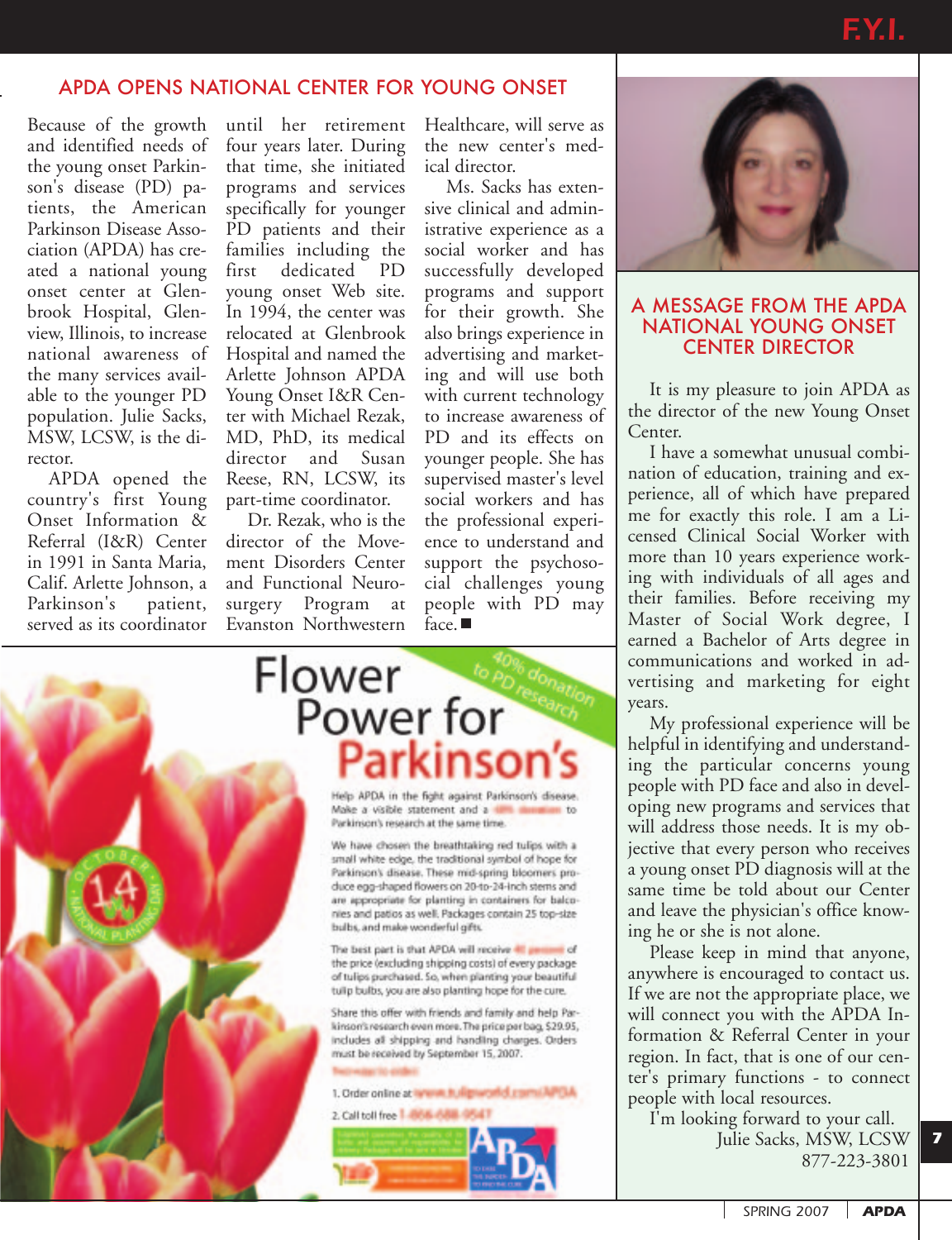### APDA OPENS NATIONAL CENTER FOR YOUNG ONSET

Because of the growth and identified needs of the young onset Parkinson's disease (PD) patients, the American Parkinson Disease Association (APDA) has created a national young onset center at Glenbrook Hospital, Glenview, Illinois, to increase national awareness of the many services available to the younger PD population. Julie Sacks, MSW, LCSW, is the director.

APDA opened the country's first Young Onset Information & Referral (I&R) Center in 1991 in Santa Maria, Calif. Arlette Johnson, a Parkinson's patient, served as its coordinator

until her retirement four years later. During that time, she initiated programs and services specifically for younger PD patients and their families including the first dedicated PD young onset Web site. In 1994, the center was relocated at Glenbrook Hospital and named the Arlette Johnson APDA Young Onset I&R Center with Michael Rezak, MD, PhD, its medical director and Susan Reese, RN, LCSW, its part-time coordinator.

Dr. Rezak, who is the director of the Movement Disorders Center and Functional Neurosurgery Program at Evanston Northwestern

Healthcare, will serve as the new center's medical director.

Ms. Sacks has extensive clinical and administrative experience as a social worker and has successfully developed programs and support for their growth. She also brings experience in advertising and marketing and will use both with current technology to increase awareness of PD and its effects on younger people. She has supervised master's level social workers and has the professional experience to understand and support the psychosocial challenges young people with PD may  $face.$ 





#### A MESSAGE FROM THE APDA NATIONAL YOUNG ONSET CENTER DIRECTOR

It is my pleasure to join APDA as the director of the new Young Onset Center.

I have a somewhat unusual combination of education, training and experience, all of which have prepared me for exactly this role. I am a Licensed Clinical Social Worker with more than 10 years experience working with individuals of all ages and their families. Before receiving my Master of Social Work degree, I earned a Bachelor of Arts degree in communications and worked in advertising and marketing for eight years.

My professional experience will be helpful in identifying and understanding the particular concerns young people with PD face and also in developing new programs and services that will address those needs. It is my objective that every person who receives a young onset PD diagnosis will at the same time be told about our Center and leave the physician's office knowing he or she is not alone.

Please keep in mind that anyone, anywhere is encouraged to contact us. If we are not the appropriate place, we will connect you with the APDA Information & Referral Center in your region. In fact, that is one of our center's primary functions - to connect people with local resources.

I'm looking forward to your call. Julie Sacks, MSW, LCSW

877-223-3801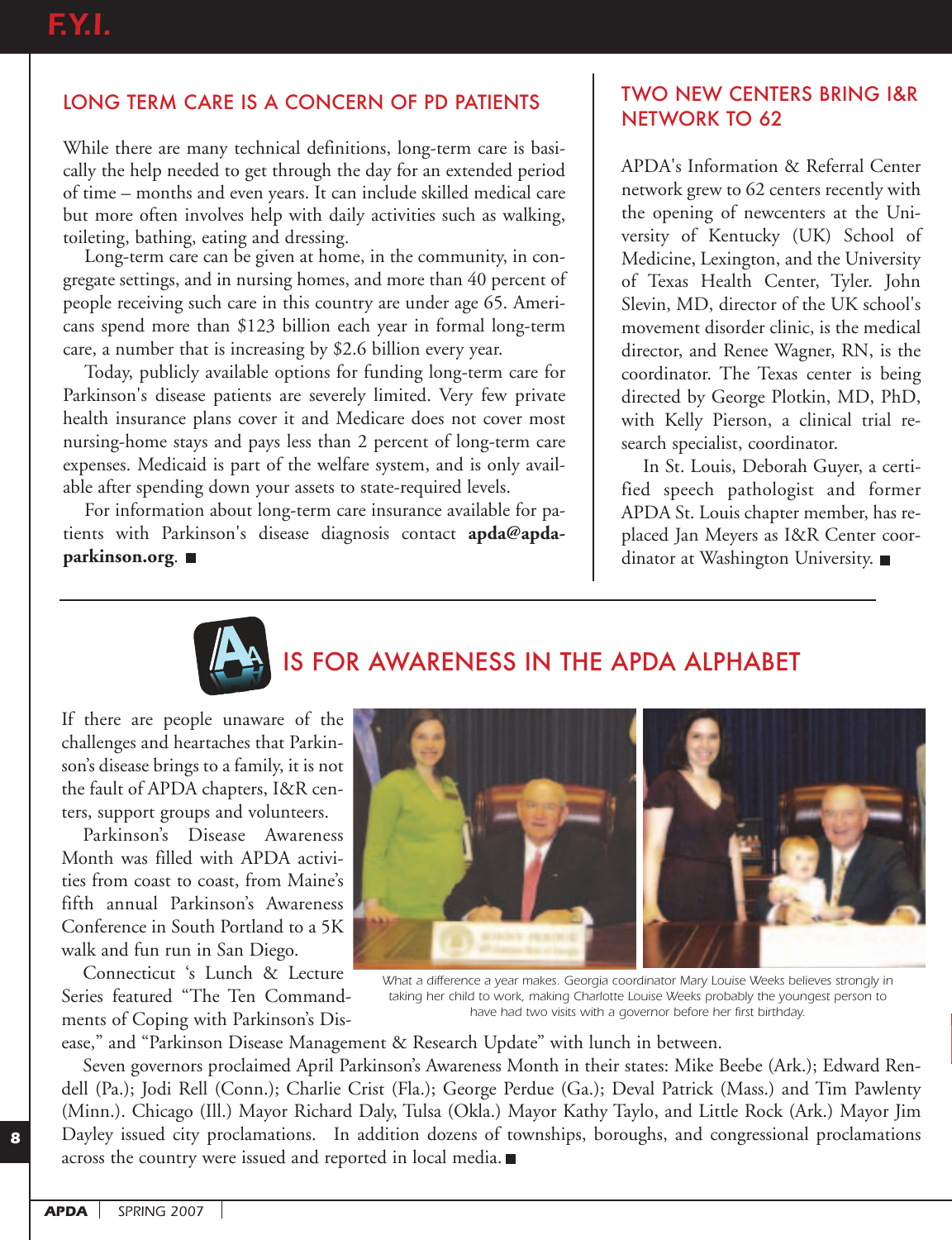## LONG TERM CARE IS A CONCERN OF PD PATIENTS

While there are many technical definitions, long-term care is basically the help needed to get through the day for an extended period of time – months and even years. It can include skilled medical care but more often involves help with daily activities such as walking, toileting, bathing, eating and dressing.

Long-term care can be given at home, in the community, in congregate settings, and in nursing homes, and more than 40 percent of people receiving such care in this country are under age 65. Americans spend more than \$123 billion each year in formal long-term care, a number that is increasing by \$2.6 billion every year.

Today, publicly available options for funding long-term care for Parkinson's disease patients are severely limited. Very few private health insurance plans cover it and Medicare does not cover most nursing-home stays and pays less than 2 percent of long-term care expenses. Medicaid is part of the welfare system, and is only available after spending down your assets to state-required levels.

For information about long-term care insurance available for patients with Parkinson's disease diagnosis contact **apda@apdaparkinson.org**.

### TWO NEW CENTERS BRING I&R NETWORK TO 62

APDA's Information & Referral Center network grew to 62 centers recently with the opening of newcenters at the University of Kentucky (UK) School of Medicine, Lexington, and the University of Texas Health Center, Tyler. John Slevin, MD, director of the UK school's movement disorder clinic, is the medical director, and Renee Wagner, RN, is the coordinator. The Texas center is being directed by George Plotkin, MD, PhD, with Kelly Pierson, a clinical trial research specialist, coordinator.

In St. Louis, Deborah Guyer, a certified speech pathologist and former APDA St. Louis chapter member, has replaced Jan Meyers as I&R Center coordinator at Washington University.



# IS FOR AWARENESS IN THE APDA ALPHABET

If there are people unaware of the challenges and heartaches that Parkinson's disease brings to a family, it is not the fault of APDA chapters, I&R centers, support groups and volunteers.

Parkinson's Disease Awareness Month was filled with APDA activities from coast to coast, from Maine's fifth annual Parkinson's Awareness Conference in South Portland to a 5K walk and fun run in San Diego.

Connecticut 's Lunch & Lecture Series featured "The Ten Commandments of Coping with Parkinson's Dis-



*What a difference a year makes. Georgia coordinator Mary Louise Weeks believes strongly in taking her child to work, making Charlotte Louise Weeks probably the youngest person to have had two visits with a governor before her first birthday.*

ease," and "Parkinson Disease Management & Research Update" with lunch in between.

Seven governors proclaimed April Parkinson's Awareness Month in their states: Mike Beebe (Ark.); Edward Rendell (Pa.); Jodi Rell (Conn.); Charlie Crist (Fla.); George Perdue (Ga.); Deval Patrick (Mass.) and Tim Pawlenty (Minn.). Chicago (Ill.) Mayor Richard Daly, Tulsa (Okla.) Mayor Kathy Taylo, and Little Rock (Ark.) Mayor Jim Dayley issued city proclamations. In addition dozens of townships, boroughs, and congressional proclamations across the country were issued and reported in local media.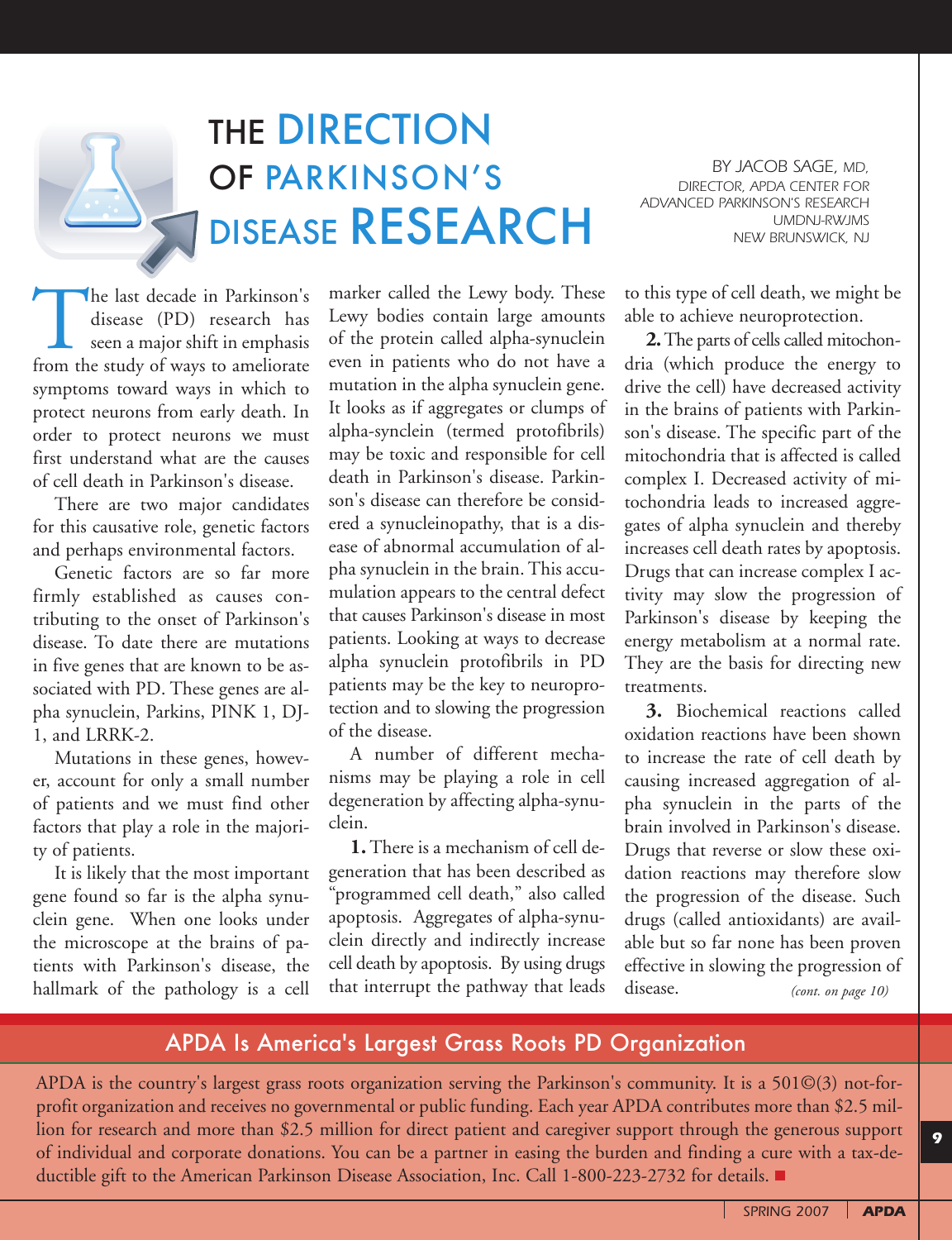# THE DIRECTION OF PARKINSON'S DISEASE RESEARCH

*BY JACOB SAGE, MD, DIRECTOR, APDA CENTER FOR ADVANCED PARKINSON'S RESEARCH UMDNJ-RWJMS NEW BRUNSWICK, NJ*

The last decade in Parkinson's<br>disease (PD) research has<br>seen a major shift in emphasis<br>from the study of ways to ameliorate disease (PD) research has seen a major shift in emphasis symptoms toward ways in which to protect neurons from early death. In order to protect neurons we must first understand what are the causes of cell death in Parkinson's disease.

There are two major candidates for this causative role, genetic factors and perhaps environmental factors.

Genetic factors are so far more firmly established as causes contributing to the onset of Parkinson's disease. To date there are mutations in five genes that are known to be associated with PD. These genes are alpha synuclein, Parkins, PINK 1, DJ-1, and LRRK-2.

Mutations in these genes, however, account for only a small number of patients and we must find other factors that play a role in the majority of patients.

It is likely that the most important gene found so far is the alpha synuclein gene. When one looks under the microscope at the brains of patients with Parkinson's disease, the hallmark of the pathology is a cell

marker called the Lewy body. These Lewy bodies contain large amounts of the protein called alpha-synuclein even in patients who do not have a mutation in the alpha synuclein gene. It looks as if aggregates or clumps of alpha-synclein (termed protofibrils) may be toxic and responsible for cell death in Parkinson's disease. Parkinson's disease can therefore be considered a synucleinopathy, that is a disease of abnormal accumulation of alpha synuclein in the brain. This accumulation appears to the central defect that causes Parkinson's disease in most patients. Looking at ways to decrease alpha synuclein protofibrils in PD patients may be the key to neuroprotection and to slowing the progression of the disease.

A number of different mechanisms may be playing a role in cell degeneration by affecting alpha-synuclein.

**1.** There is a mechanism of cell degeneration that has been described as "programmed cell death," also called apoptosis. Aggregates of alpha-synuclein directly and indirectly increase cell death by apoptosis. By using drugs that interrupt the pathway that leads to this type of cell death, we might be able to achieve neuroprotection.

**2.**The parts of cells called mitochondria (which produce the energy to drive the cell) have decreased activity in the brains of patients with Parkinson's disease. The specific part of the mitochondria that is affected is called complex I. Decreased activity of mitochondria leads to increased aggregates of alpha synuclein and thereby increases cell death rates by apoptosis. Drugs that can increase complex I activity may slow the progression of Parkinson's disease by keeping the energy metabolism at a normal rate. They are the basis for directing new treatments.

**3.** Biochemical reactions called oxidation reactions have been shown to increase the rate of cell death by causing increased aggregation of alpha synuclein in the parts of the brain involved in Parkinson's disease. Drugs that reverse or slow these oxidation reactions may therefore slow the progression of the disease. Such drugs (called antioxidants) are available but so far none has been proven effective in slowing the progression of disease. *(cont. on page 10)*

## APDA Is America's Largest Grass Roots PD Organization

APDA is the country's largest grass roots organization serving the Parkinson's community. It is a 501©(3) not-forprofit organization and receives no governmental or public funding. Each year APDA contributes more than \$2.5 million for research and more than \$2.5 million for direct patient and caregiver support through the generous support of individual and corporate donations. You can be a partner in easing the burden and finding a cure with a tax-deductible gift to the American Parkinson Disease Association, Inc. Call 1-800-223-2732 for details.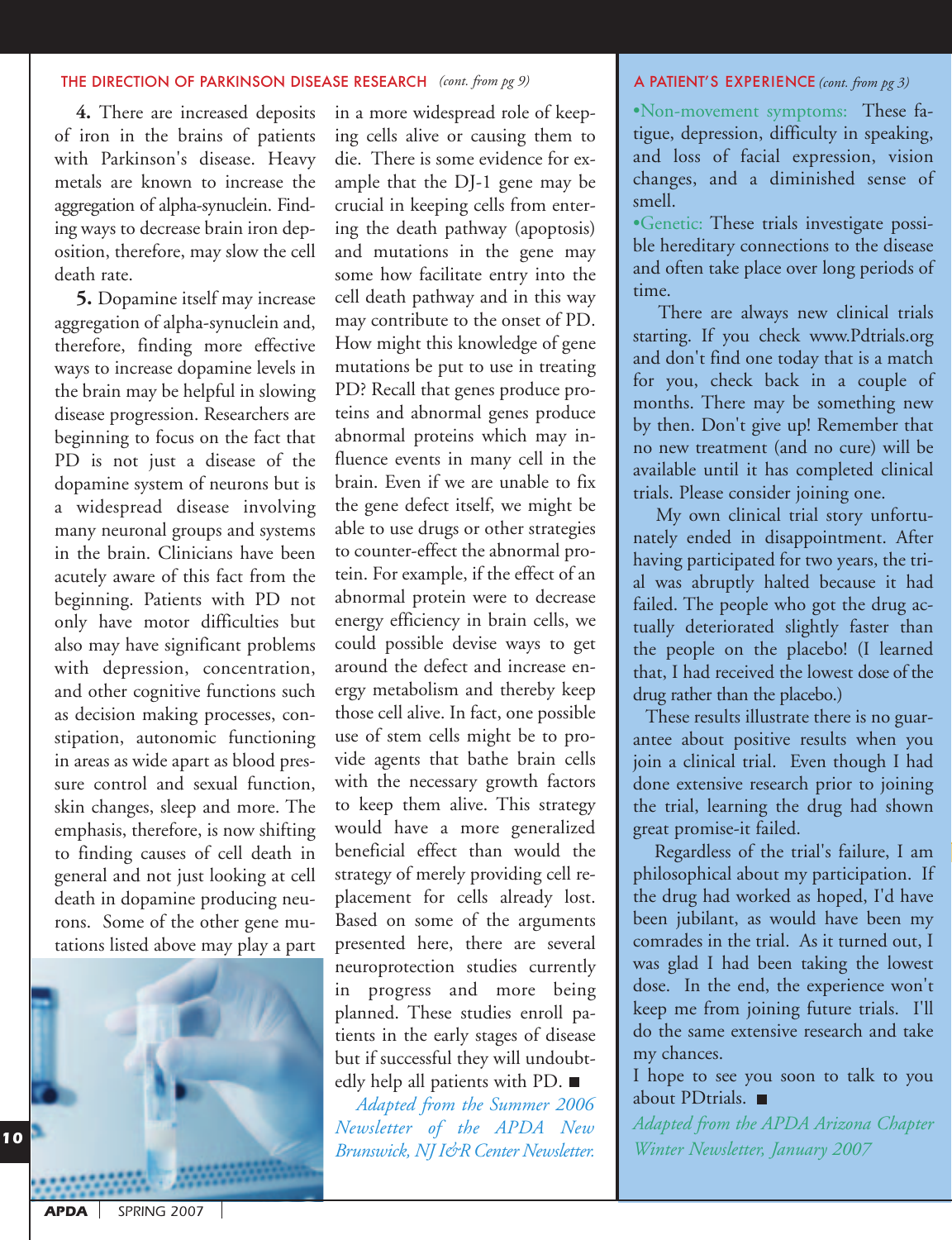#### THE DIRECTION OF PARKINSON DISEASE RESEARCH (cont. from pg 9) **A PATIENT'S EXPERIENCE**

**4.** There are increased deposits of iron in the brains of patients with Parkinson's disease. Heavy metals are known to increase the aggregation of alpha-synuclein. Finding ways to decrease brain iron deposition, therefore, may slow the cell death rate.

**5.** Dopamine itself may increase aggregation of alpha-synuclein and, therefore, finding more effective ways to increase dopamine levels in the brain may be helpful in slowing disease progression. Researchers are beginning to focus on the fact that PD is not just a disease of the dopamine system of neurons but is a widespread disease involving many neuronal groups and systems in the brain. Clinicians have been acutely aware of this fact from the beginning. Patients with PD not only have motor difficulties but also may have significant problems with depression, concentration, and other cognitive functions such as decision making processes, constipation, autonomic functioning in areas as wide apart as blood pressure control and sexual function, skin changes, sleep and more. The emphasis, therefore, is now shifting to finding causes of cell death in general and not just looking at cell death in dopamine producing neurons. Some of the other gene mutations listed above may play a part



in a more widespread role of keeping cells alive or causing them to die. There is some evidence for example that the DJ-1 gene may be crucial in keeping cells from entering the death pathway (apoptosis) and mutations in the gene may some how facilitate entry into the cell death pathway and in this way may contribute to the onset of PD. How might this knowledge of gene mutations be put to use in treating PD? Recall that genes produce proteins and abnormal genes produce abnormal proteins which may influence events in many cell in the brain. Even if we are unable to fix the gene defect itself, we might be able to use drugs or other strategies to counter-effect the abnormal protein. For example, if the effect of an abnormal protein were to decrease energy efficiency in brain cells, we could possible devise ways to get around the defect and increase energy metabolism and thereby keep those cell alive. In fact, one possible use of stem cells might be to provide agents that bathe brain cells with the necessary growth factors to keep them alive. This strategy would have a more generalized beneficial effect than would the strategy of merely providing cell replacement for cells already lost. Based on some of the arguments presented here, there are several neuroprotection studies currently in progress and more being planned. These studies enroll patients in the early stages of disease but if successful they will undoubtedly help all patients with PD. ■

*Adapted from the Summer 2006 Newsletter of the APDA New Brunswick, NJ I&R Center Newsletter.*

#### *(cont. from pg 3)*

•Non-movement symptoms: These fatigue, depression, difficulty in speaking, and loss of facial expression, vision changes, and a diminished sense of smell.

•Genetic: These trials investigate possible hereditary connections to the disease and often take place over long periods of time.

There are always new clinical trials starting. If you check www.Pdtrials.org and don't find one today that is a match for you, check back in a couple of months. There may be something new by then. Don't give up! Remember that no new treatment (and no cure) will be available until it has completed clinical trials. Please consider joining one.

My own clinical trial story unfortunately ended in disappointment. After having participated for two years, the trial was abruptly halted because it had failed. The people who got the drug actually deteriorated slightly faster than the people on the placebo! (I learned that, I had received the lowest dose of the drug rather than the placebo.)

These results illustrate there is no guarantee about positive results when you join a clinical trial. Even though I had done extensive research prior to joining the trial, learning the drug had shown great promise-it failed.

Regardless of the trial's failure, I am philosophical about my participation. If the drug had worked as hoped, I'd have been jubilant, as would have been my comrades in the trial. As it turned out, I was glad I had been taking the lowest dose. In the end, the experience won't keep me from joining future trials. I'll do the same extensive research and take my chances.

I hope to see you soon to talk to you about PDtrials. ■

*Adapted from the APDA Arizona Chapter Winter Newsletter, January 2007*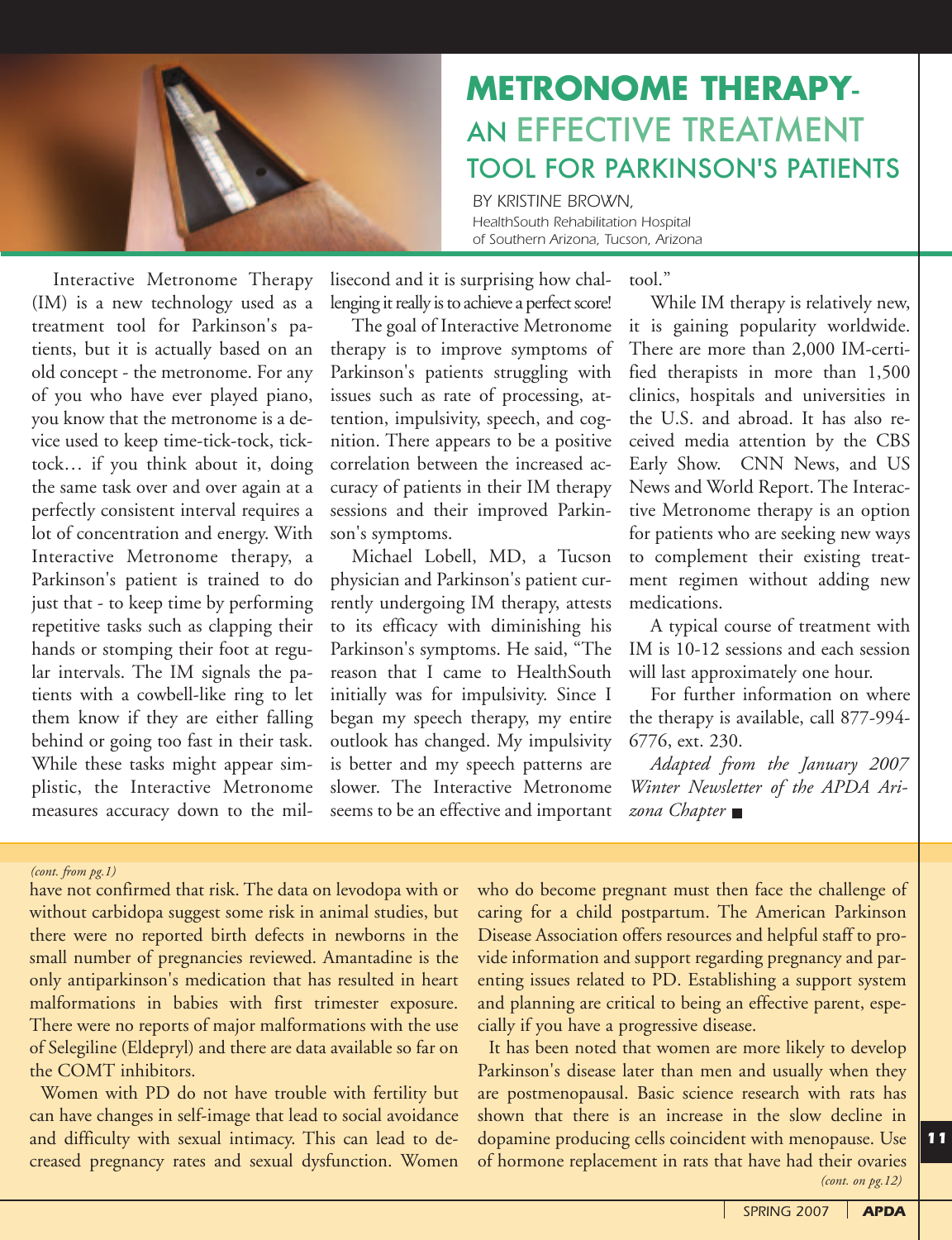

# **METRONOME THERAPY**-AN EFFECTIVE TREATMENT TOOL FOR PARKINSON'S PATIENTS

*BY KRISTINE BROWN, HealthSouth Rehabilitation Hospital of Southern Arizona, Tucson, Arizona*

Interactive Metronome Therapy (IM) is a new technology used as a treatment tool for Parkinson's patients, but it is actually based on an old concept - the metronome. For any of you who have ever played piano, you know that the metronome is a device used to keep time-tick-tock, ticktock… if you think about it, doing the same task over and over again at a perfectly consistent interval requires a lot of concentration and energy. With Interactive Metronome therapy, a Parkinson's patient is trained to do just that - to keep time by performing repetitive tasks such as clapping their hands or stomping their foot at regular intervals. The IM signals the patients with a cowbell-like ring to let them know if they are either falling behind or going too fast in their task. While these tasks might appear simplistic, the Interactive Metronome measures accuracy down to the millisecond and it is surprising how challenging it really is to achieve a perfect score!

The goal of Interactive Metronome therapy is to improve symptoms of Parkinson's patients struggling with issues such as rate of processing, attention, impulsivity, speech, and cognition. There appears to be a positive correlation between the increased accuracy of patients in their IM therapy sessions and their improved Parkinson's symptoms.

Michael Lobell, MD, a Tucson physician and Parkinson's patient currently undergoing IM therapy, attests to its efficacy with diminishing his Parkinson's symptoms. He said, "The reason that I came to HealthSouth initially was for impulsivity. Since I began my speech therapy, my entire outlook has changed. My impulsivity is better and my speech patterns are slower. The Interactive Metronome seems to be an effective and important

tool."

While IM therapy is relatively new, it is gaining popularity worldwide. There are more than 2,000 IM-certified therapists in more than 1,500 clinics, hospitals and universities in the U.S. and abroad. It has also received media attention by the CBS Early Show. CNN News, and US News and World Report. The Interactive Metronome therapy is an option for patients who are seeking new ways to complement their existing treatment regimen without adding new medications.

A typical course of treatment with IM is 10-12 sessions and each session will last approximately one hour.

For further information on where the therapy is available, call 877-994- 6776, ext. 230.

*Adapted from the January 2007 Winter Newsletter of the APDA Arizona Chapter*

#### *(cont. from pg.1)*

have not confirmed that risk. The data on levodopa with or without carbidopa suggest some risk in animal studies, but there were no reported birth defects in newborns in the small number of pregnancies reviewed. Amantadine is the only antiparkinson's medication that has resulted in heart malformations in babies with first trimester exposure. There were no reports of major malformations with the use of Selegiline (Eldepryl) and there are data available so far on the COMT inhibitors.

Women with PD do not have trouble with fertility but can have changes in self-image that lead to social avoidance and difficulty with sexual intimacy. This can lead to decreased pregnancy rates and sexual dysfunction. Women

who do become pregnant must then face the challenge of caring for a child postpartum. The American Parkinson Disease Association offers resources and helpful staff to provide information and support regarding pregnancy and parenting issues related to PD. Establishing a support system and planning are critical to being an effective parent, especially if you have a progressive disease.

It has been noted that women are more likely to develop Parkinson's disease later than men and usually when they are postmenopausal. Basic science research with rats has shown that there is an increase in the slow decline in dopamine producing cells coincident with menopause. Use of hormone replacement in rats that have had their ovaries *(cont. on pg.12)*